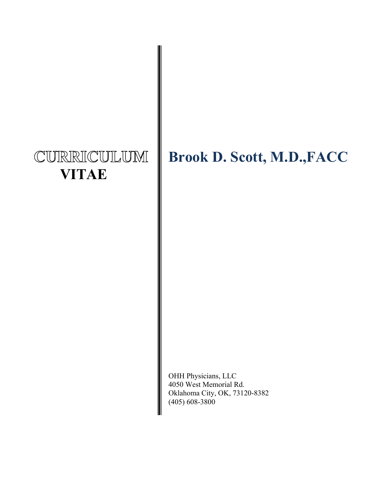# CURRICULUM  **VITAE**

## **Brook D. Scott, M.D.,FACC**

OHH Physicians, LLC 4050 West Memorial Rd. Oklahoma City, OK, 73120-8382 (405) 608-3800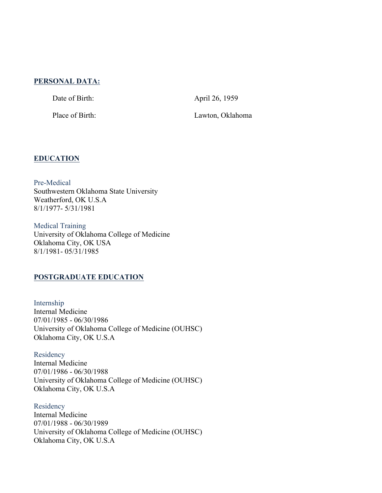## **PERSONAL DATA:**

Date of Birth: April 26, 1959

Place of Birth: Lawton, Oklahoma

## **EDUCATION**

Pre-Medical Southwestern Oklahoma State University Weatherford, OK U.S.A 8/1/1977- 5/31/1981

Medical Training University of Oklahoma College of Medicine Oklahoma City, OK USA 8/1/1981- 05/31/1985

## **POSTGRADUATE EDUCATION**

Internship Internal Medicine 07/01/1985 - 06/30/1986 University of Oklahoma College of Medicine (OUHSC) Oklahoma City, OK U.S.A

**Residency** Internal Medicine 07/01/1986 - 06/30/1988 University of Oklahoma College of Medicine (OUHSC) Oklahoma City, OK U.S.A

Residency Internal Medicine 07/01/1988 - 06/30/1989 University of Oklahoma College of Medicine (OUHSC) Oklahoma City, OK U.S.A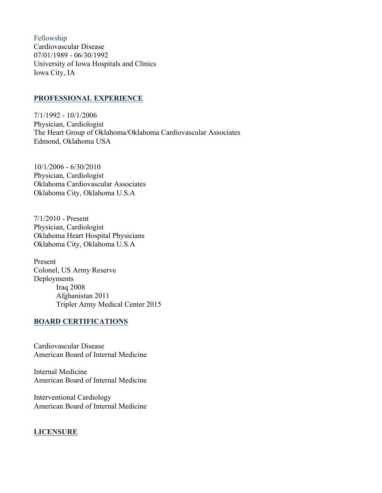Fellowship Cardiovascular Disease 07/01/1989 - 06/30/1992 University of Iowa Hospitals and Clinics Iowa City, IA

#### **PROFESSIONAL EXPERIENCE**

7/1/1992 - 10/1/2006 Physician, Cardiologist The Heart Group of Oklahoma/Oklahoma Cardiovascular Associates Edmond, Oklahoma USA

10/1/2006 - 6/30/2010 Physician, Cardiologist Oklahoma Cardiovascular Associates Oklahoma City, Oklahoma U.S.A

7/1/2010 - Present Physician, Cardiologist Oklahoma Heart Hospital Physicians Oklahoma City, Oklahoma U.S.A

Present Colonel, US Army Reserve Deployments Iraq 2008 Afghanistan 2011 Tripler Army Medical Center 2015

## **BOARD CERTIFICATIONS**

Cardiovascular Disease American Board of Internal Medicine

Internal Medicine American Board of Internal Medicine

Interventional Cardiology American Board of Internal Medicine

## **LICENSURE**